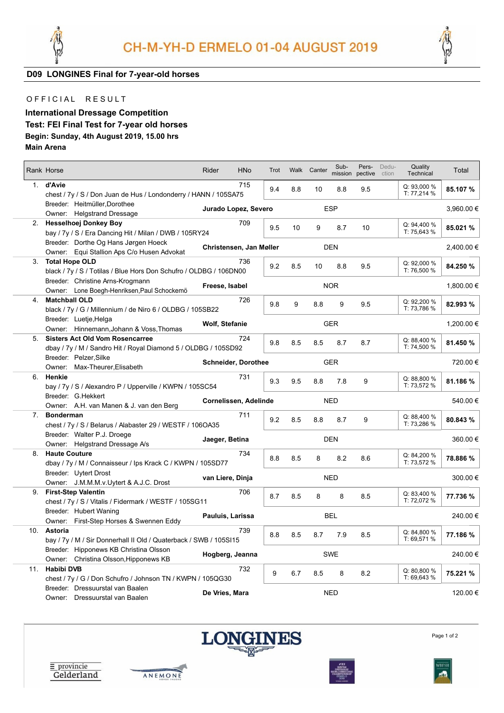



**D09 LONGINES Final for 7-year-old horses**

## OFFICIAL RESULT

## **International Dressage Competition Test: FEI Final Test for 7-year old horses Begin: Sunday, 4th August 2019, 15.00 hrs Main Arena**

|     |                                                                    |                            |                         |      |            |             | Sub-       | Pers-   | Dedu-   | Quality     |            |
|-----|--------------------------------------------------------------------|----------------------------|-------------------------|------|------------|-------------|------------|---------|---------|-------------|------------|
|     | Rank Horse                                                         | Rider                      | <b>HNo</b>              | Trot |            | Walk Canter | mission    | pective | ction   | Technical   | Total      |
|     | 1. d'Avie                                                          |                            | 715                     |      |            |             |            |         |         | Q: 93,000 % |            |
|     | chest / 7y / S / Don Juan de Hus / Londonderry / HANN / 105SA75    |                            |                         | 9.4  | 8.8        | 10          | 8.8        | 9.5     |         | T: 77,214 % | 85.107 %   |
|     | Breeder: Heitmüller, Dorothee                                      |                            |                         |      |            |             |            |         |         |             |            |
|     | Owner: Helgstrand Dressage                                         |                            | Jurado Lopez, Severo    |      |            |             | <b>ESP</b> |         |         |             | 3,960.00 € |
|     | 2. Hesselhoej Donkey Boy                                           |                            | 709                     |      |            |             |            |         |         | Q: 94,400 % |            |
|     | bay / 7y / S / Era Dancing Hit / Milan / DWB / 105RY24             |                            |                         | 9.5  | 10         | 9           | 8.7        | 10      |         | T: 75.643 % | 85.021 %   |
|     | Breeder: Dorthe Og Hans Jørgen Hoeck                               |                            |                         |      |            |             |            |         |         |             |            |
|     | Owner: Equi Stallion Aps C/o Husen Advokat                         |                            | Christensen, Jan Møller |      |            |             | <b>DEN</b> |         |         |             | 2,400.00 € |
|     | 3. Total Hope OLD                                                  |                            | 736                     |      |            |             |            |         |         | Q: 92,000 % |            |
|     | black / 7y / S / Totilas / Blue Hors Don Schufro / OLDBG / 106DN00 |                            |                         | 9.2  | 8.5        | 10          | 8.8        | 9.5     |         | T: 76,500 % | 84.250 %   |
|     | Breeder: Christine Arns-Krogmann                                   |                            |                         |      |            |             |            |         |         |             |            |
|     | Owner: Lone Boegh-Henriksen, Paul Schockemö                        | Freese, Isabel             |                         |      |            |             | <b>NOR</b> |         |         |             | 1,800.00 € |
| 4.  | <b>Matchball OLD</b>                                               |                            | 726                     |      |            |             |            |         |         | Q: 92,200 % |            |
|     | black / 7y / G / Millennium / de Niro 6 / OLDBG / 105SB22          |                            |                         | 9.8  | 9          | 8.8         | 9          | 9.5     |         | T: 73,786 % | 82.993 %   |
|     | Breeder: Luetje, Helga                                             |                            |                         |      |            |             |            |         |         |             |            |
|     | Owner: Hinnemann, Johann & Voss, Thomas                            | Wolf, Stefanie             |                         |      |            |             | <b>GER</b> |         |         |             | 1,200.00 € |
| 5.  | <b>Sisters Act Old Vom Rosencarree</b>                             |                            | 724                     |      |            |             |            |         |         | Q: 88,400 % |            |
|     | dbay / 7y / M / Sandro Hit / Royal Diamond 5 / OLDBG / 105SD92     |                            |                         | 9.8  | 8.5        | 8.5         | 8.7        | 8.7     |         | T: 74,500 % | 81.450 %   |
|     | Breeder: Pelzer, Silke                                             |                            |                         |      |            |             |            |         |         |             |            |
|     | Owner: Max-Theurer, Elisabeth                                      | <b>Schneider, Dorothee</b> |                         |      |            | GER         |            |         | 720.00€ |             |            |
| 6.  | Henkie                                                             |                            | 731                     | 9.3  | 9.5        | 8.8         | 7.8        | 9       |         | Q: 88,800 % | 81.186 %   |
|     | bay / 7y / S / Alexandro P / Upperville / KWPN / 105SC54           |                            |                         |      |            |             |            |         |         | T: 73,572 % |            |
|     | Breeder: G.Hekkert                                                 |                            |                         |      |            |             | <b>NED</b> |         |         |             |            |
|     | Owner: A.H. van Manen & J. van den Berg                            |                            | Cornelissen, Adelinde   |      |            |             |            |         |         |             | 540.00 €   |
| 7.  | <b>Bonderman</b>                                                   |                            | 711                     | 9.2  | 8.5        | 8.8         | 8.7        | 9       |         | Q: 88,400 % | 80.843 %   |
|     | chest / 7y / S / Belarus / Alabaster 29 / WESTF / 106OA35          |                            |                         |      |            |             |            |         |         | T: 73,286 % |            |
|     | Breeder: Walter P.J. Droege                                        | Jaeger, Betina             |                         |      |            |             | <b>DEN</b> |         |         |             | 360.00€    |
|     | Owner: Helgstrand Dressage A/s                                     |                            |                         |      |            |             |            |         |         |             |            |
|     | 8. Haute Couture                                                   |                            | 734                     | 8.8  | 8.5        | 8           | 8.2        | 8.6     |         | Q: 84,200 % | 78.886 %   |
|     | dbay / 7y / M / Connaisseur / Ips Krack C / KWPN / 105SD77         |                            |                         |      |            |             |            |         |         | T: 73,572 % |            |
|     | Breeder: Uytert Drost                                              | van Liere, Dinja           |                         |      |            |             | <b>NED</b> |         |         |             | 300.00€    |
|     | Owner: J.M.M.M.v.Uytert & A.J.C. Drost                             |                            |                         |      |            |             |            |         |         |             |            |
|     | 9. First-Step Valentin                                             |                            | 706                     | 8.7  | 8.5        | 8           | 8          | 8.5     |         | Q: 83,400 % | 77.736 %   |
|     | chest / 7y / S / Vitalis / Fidermark / WESTF / 105SG11             |                            |                         |      |            |             |            |         |         | T: 72,072 % |            |
|     | Breeder: Hubert Waning                                             | Pauluis, Larissa           |                         |      |            |             | <b>BEL</b> |         |         |             | 240.00€    |
|     | Owner: First-Step Horses & Swennen Eddy                            |                            |                         |      |            |             |            |         |         |             |            |
| 10. | Astoria                                                            |                            | 739                     | 8.8  | 8.5        | 8.7         | 7.9        | 8.5     |         | Q: 84,800 % | 77.186 %   |
|     | bay / 7y / M / Sir Donnerhall II Old / Quaterback / SWB / 105SI15  |                            |                         |      |            |             |            |         |         | T: 69,571 % |            |
|     | Breeder: Hipponews KB Christina Olsson                             | Hogberg, Jeanna            |                         |      |            |             | <b>SWE</b> |         |         |             | 240.00€    |
|     | Owner: Christina Olsson, Hipponews KB                              |                            |                         |      |            |             |            |         |         |             |            |
| 11. | <b>Habibi DVB</b>                                                  |                            | 732                     | 9    | 6.7        | 8.5         | 8          | 8.2     |         | Q: 80,800 % | 75.221 %   |
|     | chest / 7y / G / Don Schufro / Johnson TN / KWPN / 105QG30         |                            |                         |      |            |             |            |         |         | T: 69,643 % |            |
|     | Breeder: Dressuurstal van Baalen                                   | De Vries, Mara             |                         |      | <b>NED</b> |             |            |         |         | 120.00€     |            |
|     | Owner: Dressuurstal van Baalen                                     |                            |                         |      |            |             |            |         |         |             |            |